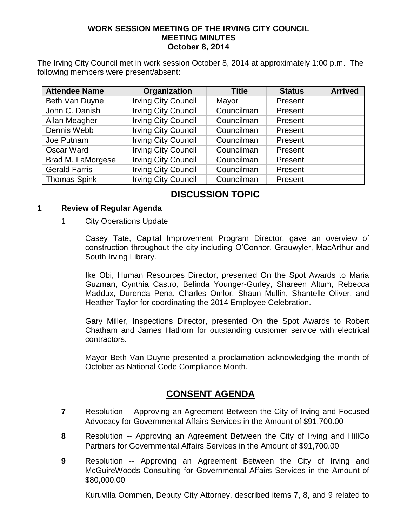#### **WORK SESSION MEETING OF THE IRVING CITY COUNCIL MEETING MINUTES October 8, 2014**

The Irving City Council met in work session October 8, 2014 at approximately 1:00 p.m. The following members were present/absent:

| <b>Attendee Name</b> | Organization               | <b>Title</b> | <b>Status</b> | <b>Arrived</b> |
|----------------------|----------------------------|--------------|---------------|----------------|
| Beth Van Duyne       | <b>Irving City Council</b> | Mayor        | Present       |                |
| John C. Danish       | <b>Irving City Council</b> | Councilman   | Present       |                |
| Allan Meagher        | <b>Irving City Council</b> | Councilman   | Present       |                |
| Dennis Webb          | <b>Irving City Council</b> | Councilman   | Present       |                |
| Joe Putnam           | <b>Irving City Council</b> | Councilman   | Present       |                |
| Oscar Ward           | <b>Irving City Council</b> | Councilman   | Present       |                |
| Brad M. LaMorgese    | <b>Irving City Council</b> | Councilman   | Present       |                |
| <b>Gerald Farris</b> | <b>Irving City Council</b> | Councilman   | Present       |                |
| <b>Thomas Spink</b>  | <b>Irving City Council</b> | Councilman   | Present       |                |

# **DISCUSSION TOPIC**

#### **1 Review of Regular Agenda**

1 City Operations Update

Casey Tate, Capital Improvement Program Director, gave an overview of construction throughout the city including O'Connor, Grauwyler, MacArthur and South Irving Library.

Ike Obi, Human Resources Director, presented On the Spot Awards to Maria Guzman, Cynthia Castro, Belinda Younger-Gurley, Shareen Altum, Rebecca Maddux, Durenda Pena, Charles Omlor, Shaun Mullin, Shantelle Oliver, and Heather Taylor for coordinating the 2014 Employee Celebration.

Gary Miller, Inspections Director, presented On the Spot Awards to Robert Chatham and James Hathorn for outstanding customer service with electrical contractors.

Mayor Beth Van Duyne presented a proclamation acknowledging the month of October as National Code Compliance Month.

## **CONSENT AGENDA**

- **7** Resolution -- Approving an Agreement Between the City of Irving and Focused Advocacy for Governmental Affairs Services in the Amount of \$91,700.00
- **8** Resolution -- Approving an Agreement Between the City of Irving and HillCo Partners for Governmental Affairs Services in the Amount of \$91,700.00
- **9** Resolution -- Approving an Agreement Between the City of Irving and McGuireWoods Consulting for Governmental Affairs Services in the Amount of \$80,000.00

Kuruvilla Oommen, Deputy City Attorney, described items 7, 8, and 9 related to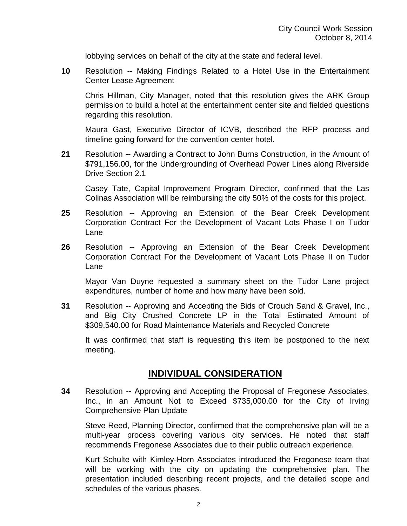lobbying services on behalf of the city at the state and federal level.

**10** Resolution -- Making Findings Related to a Hotel Use in the Entertainment Center Lease Agreement

Chris Hillman, City Manager, noted that this resolution gives the ARK Group permission to build a hotel at the entertainment center site and fielded questions regarding this resolution.

Maura Gast, Executive Director of ICVB, described the RFP process and timeline going forward for the convention center hotel.

**21** Resolution -- Awarding a Contract to John Burns Construction, in the Amount of \$791,156.00, for the Undergrounding of Overhead Power Lines along Riverside Drive Section 2.1

Casey Tate, Capital Improvement Program Director, confirmed that the Las Colinas Association will be reimbursing the city 50% of the costs for this project.

- **25** Resolution -- Approving an Extension of the Bear Creek Development Corporation Contract For the Development of Vacant Lots Phase I on Tudor Lane
- **26** Resolution -- Approving an Extension of the Bear Creek Development Corporation Contract For the Development of Vacant Lots Phase II on Tudor Lane

Mayor Van Duyne requested a summary sheet on the Tudor Lane project expenditures, number of home and how many have been sold.

**31** Resolution -- Approving and Accepting the Bids of Crouch Sand & Gravel, Inc., and Big City Crushed Concrete LP in the Total Estimated Amount of \$309,540.00 for Road Maintenance Materials and Recycled Concrete

It was confirmed that staff is requesting this item be postponed to the next meeting.

### **INDIVIDUAL CONSIDERATION**

**34** Resolution -- Approving and Accepting the Proposal of Fregonese Associates, Inc., in an Amount Not to Exceed \$735,000.00 for the City of Irving Comprehensive Plan Update

Steve Reed, Planning Director, confirmed that the comprehensive plan will be a multi-year process covering various city services. He noted that staff recommends Fregonese Associates due to their public outreach experience.

Kurt Schulte with Kimley-Horn Associates introduced the Fregonese team that will be working with the city on updating the comprehensive plan. The presentation included describing recent projects, and the detailed scope and schedules of the various phases.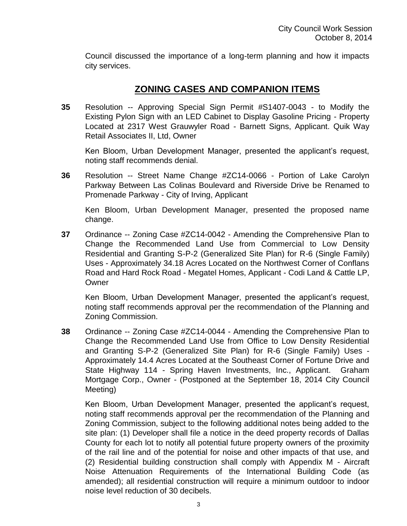Council discussed the importance of a long-term planning and how it impacts city services.

## **ZONING CASES AND COMPANION ITEMS**

**35** Resolution -- Approving Special Sign Permit #S1407-0043 - to Modify the Existing Pylon Sign with an LED Cabinet to Display Gasoline Pricing - Property Located at 2317 West Grauwyler Road - Barnett Signs, Applicant. Quik Way Retail Associates II, Ltd, Owner

Ken Bloom, Urban Development Manager, presented the applicant's request, noting staff recommends denial.

**36** Resolution -- Street Name Change #ZC14-0066 - Portion of Lake Carolyn Parkway Between Las Colinas Boulevard and Riverside Drive be Renamed to Promenade Parkway - City of Irving, Applicant

Ken Bloom, Urban Development Manager, presented the proposed name change.

**37** Ordinance -- Zoning Case #ZC14-0042 - Amending the Comprehensive Plan to Change the Recommended Land Use from Commercial to Low Density Residential and Granting S-P-2 (Generalized Site Plan) for R-6 (Single Family) Uses - Approximately 34.18 Acres Located on the Northwest Corner of Conflans Road and Hard Rock Road - Megatel Homes, Applicant - Codi Land & Cattle LP, **Owner** 

Ken Bloom, Urban Development Manager, presented the applicant's request, noting staff recommends approval per the recommendation of the Planning and Zoning Commission.

**38** Ordinance -- Zoning Case #ZC14-0044 - Amending the Comprehensive Plan to Change the Recommended Land Use from Office to Low Density Residential and Granting S-P-2 (Generalized Site Plan) for R-6 (Single Family) Uses - Approximately 14.4 Acres Located at the Southeast Corner of Fortune Drive and State Highway 114 - Spring Haven Investments, Inc., Applicant. Graham Mortgage Corp., Owner - (Postponed at the September 18, 2014 City Council Meeting)

Ken Bloom, Urban Development Manager, presented the applicant's request, noting staff recommends approval per the recommendation of the Planning and Zoning Commission, subject to the following additional notes being added to the site plan: (1) Developer shall file a notice in the deed property records of Dallas County for each lot to notify all potential future property owners of the proximity of the rail line and of the potential for noise and other impacts of that use, and (2) Residential building construction shall comply with Appendix M - Aircraft Noise Attenuation Requirements of the International Building Code (as amended); all residential construction will require a minimum outdoor to indoor noise level reduction of 30 decibels.